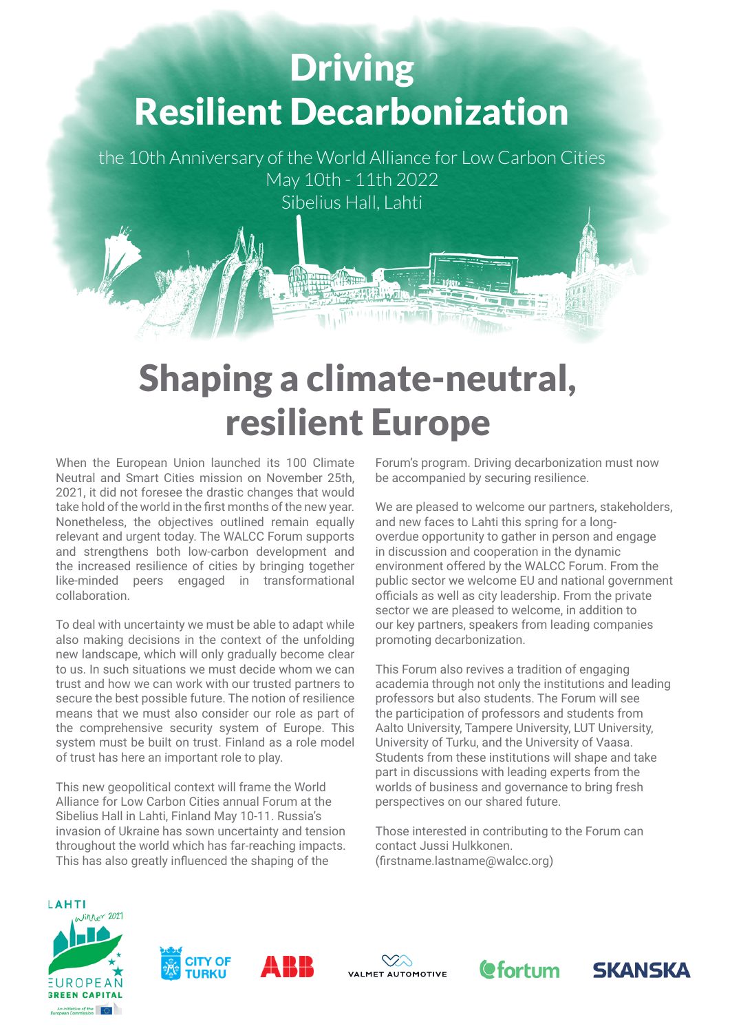## Driving Resilient Decarbonization

the 10th Anniversary of the World Alliance for Low Carbon Cities May 10th - 11th 2022 Sibelius Hall, Lahti

## Shaping a climate-neutral, resilient Europe

When the European Union launched its 100 Climate Neutral and Smart Cities mission on November 25th, 2021, it did not foresee the drastic changes that would take hold of the world in the first months of the new year. Nonetheless, the objectives outlined remain equally relevant and urgent today. The WALCC Forum supports and strengthens both low-carbon development and the increased resilience of cities by bringing together like-minded peers engaged in transformational collaboration.

To deal with uncertainty we must be able to adapt while also making decisions in the context of the unfolding new landscape, which will only gradually become clear to us. In such situations we must decide whom we can trust and how we can work with our trusted partners to secure the best possible future. The notion of resilience means that we must also consider our role as part of the comprehensive security system of Europe. This system must be built on trust. Finland as a role model of trust has here an important role to play.

This new geopolitical context will frame the World Alliance for Low Carbon Cities annual Forum at the Sibelius Hall in Lahti, Finland May 10-11. Russia's invasion of Ukraine has sown uncertainty and tension throughout the world which has far-reaching impacts. This has also greatly influenced the shaping of the

Forum's program. Driving decarbonization must now be accompanied by securing resilience.

We are pleased to welcome our partners, stakeholders, and new faces to Lahti this spring for a longoverdue opportunity to gather in person and engage in discussion and cooperation in the dynamic environment offered by the WALCC Forum. From the public sector we welcome EU and national government officials as well as city leadership. From the private sector we are pleased to welcome, in addition to our key partners, speakers from leading companies promoting decarbonization.

This Forum also revives a tradition of engaging academia through not only the institutions and leading professors but also students. The Forum will see the participation of professors and students from Aalto University, Tampere University, LUT University, University of Turku, and the University of Vaasa. Students from these institutions will shape and take part in discussions with leading experts from the worlds of business and governance to bring fresh perspectives on our shared future.

Those interested in contributing to the Forum can contact Jussi Hulkkonen. (firstname.lastname@walcc.org)